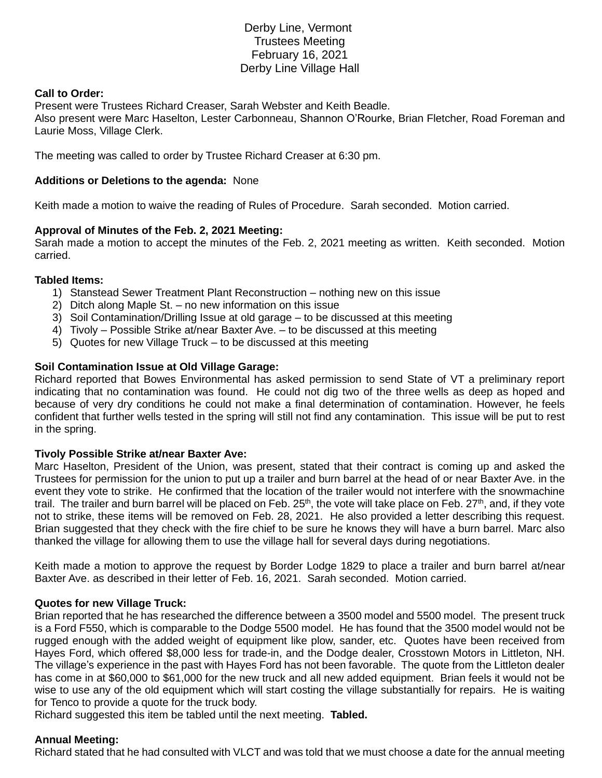# Derby Line, Vermont Trustees Meeting February 16, 2021 Derby Line Village Hall

## **Call to Order:**

Present were Trustees Richard Creaser, Sarah Webster and Keith Beadle. Also present were Marc Haselton, Lester Carbonneau, Shannon O'Rourke, Brian Fletcher, Road Foreman and Laurie Moss, Village Clerk.

The meeting was called to order by Trustee Richard Creaser at 6:30 pm.

## **Additions or Deletions to the agenda:** None

Keith made a motion to waive the reading of Rules of Procedure. Sarah seconded. Motion carried.

## **Approval of Minutes of the Feb. 2, 2021 Meeting:**

Sarah made a motion to accept the minutes of the Feb. 2, 2021 meeting as written. Keith seconded. Motion carried.

#### **Tabled Items:**

- 1) Stanstead Sewer Treatment Plant Reconstruction nothing new on this issue
- 2) Ditch along Maple St. no new information on this issue
- 3) Soil Contamination/Drilling Issue at old garage to be discussed at this meeting
- 4) Tivoly Possible Strike at/near Baxter Ave. to be discussed at this meeting
- 5) Quotes for new Village Truck to be discussed at this meeting

## **Soil Contamination Issue at Old Village Garage:**

Richard reported that Bowes Environmental has asked permission to send State of VT a preliminary report indicating that no contamination was found. He could not dig two of the three wells as deep as hoped and because of very dry conditions he could not make a final determination of contamination. However, he feels confident that further wells tested in the spring will still not find any contamination. This issue will be put to rest in the spring.

#### **Tivoly Possible Strike at/near Baxter Ave:**

Marc Haselton, President of the Union, was present, stated that their contract is coming up and asked the Trustees for permission for the union to put up a trailer and burn barrel at the head of or near Baxter Ave. in the event they vote to strike. He confirmed that the location of the trailer would not interfere with the snowmachine trail. The trailer and burn barrel will be placed on Feb.  $25<sup>th</sup>$ , the vote will take place on Feb.  $27<sup>th</sup>$ , and, if they vote not to strike, these items will be removed on Feb. 28, 2021. He also provided a letter describing this request. Brian suggested that they check with the fire chief to be sure he knows they will have a burn barrel. Marc also thanked the village for allowing them to use the village hall for several days during negotiations.

Keith made a motion to approve the request by Border Lodge 1829 to place a trailer and burn barrel at/near Baxter Ave. as described in their letter of Feb. 16, 2021. Sarah seconded. Motion carried.

#### **Quotes for new Village Truck:**

Brian reported that he has researched the difference between a 3500 model and 5500 model. The present truck is a Ford F550, which is comparable to the Dodge 5500 model. He has found that the 3500 model would not be rugged enough with the added weight of equipment like plow, sander, etc. Quotes have been received from Hayes Ford, which offered \$8,000 less for trade-in, and the Dodge dealer, Crosstown Motors in Littleton, NH. The village's experience in the past with Hayes Ford has not been favorable. The quote from the Littleton dealer has come in at \$60,000 to \$61,000 for the new truck and all new added equipment. Brian feels it would not be wise to use any of the old equipment which will start costing the village substantially for repairs. He is waiting for Tenco to provide a quote for the truck body.

Richard suggested this item be tabled until the next meeting. **Tabled.**

#### **Annual Meeting:**

Richard stated that he had consulted with VLCT and was told that we must choose a date for the annual meeting